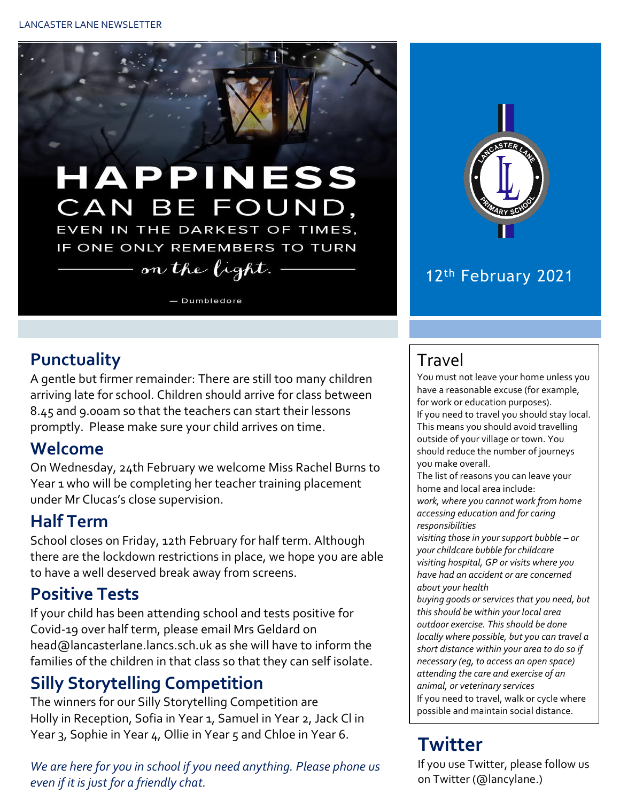

### 12th February 2021

### **Punctuality**

A gentle but firmer remainder: There are still too many children arriving late for school. Children should arrive for class between 8.45 and 9.00am so that the teachers can start their lessons promptly. Please make sure your child arrives on time.

### **Welcome**

On Wednesday, 24th February we welcome Miss Rachel Burns to Year 1 who will be completing her teacher training placement under Mr Clucas's close supervision.

### **Half Term**

School closes on Friday, 12th February for half term. Although there are the lockdown restrictions in place, we hope you are able to have a well deserved break away from screens.

# **Positive Tests**

If your child has been attending school and tests positive for Covid-19 over half term, please email Mrs Geldard on head@lancasterlane.lancs.sch.uk as she will have to inform the families of the children in that class so that they can self isolate.

# **Silly Storytelling Competition**

The winners for our Silly Storytelling Competition are Holly in Reception, Sofia in Year 1, Samuel in Year 2, Jack Cl in Year 3, Sophie in Year 4, Ollie in Year 5 and Chloe in Year 6.

*We are here for you in school if you need anything. Please phone us even if it is just for a friendly chat.* 

# Travel

You must not leave your home unless you have a reasonable excuse (for example, for work or education purposes).

If you need to travel you should stay local. This means you should avoid travelling outside of your village or town. You should reduce the number of journeys you make overall.

The list of reasons you can leave your home and local area include:

*work, where you cannot work from home accessing education and for caring responsibilities*

*visiting those in your support bubble – or your childcare bubble for childcare visiting hospital, GP or visits where you have had an accident or are concerned about your health*

*buying goods or services that you need, but this should be within your local area outdoor exercise. This should be done locally where possible, but you can travel a short distance within your area to do so if necessary (eg, to access an open space) attending the care and exercise of an animal, or veterinary services* If you need to travel, walk or cycle where possible and maintain social distance.

#### $\Gamma$  and  $\Gamma$  and  $\Gamma$  and  $\Gamma$  and  $\Gamma$  and  $\Gamma$  and  $\Gamma$  and  $\Gamma$  and  $\Gamma$  and  $\Gamma$  and  $\Gamma$  and  $\Gamma$  and  $\Gamma$  and  $\Gamma$  and  $\Gamma$  and  $\Gamma$  and  $\Gamma$  and  $\Gamma$  and  $\Gamma$  and  $\Gamma$  and  $\Gamma$  and  $\Gamma$  and  $\Gamma$  and  $\Gamma$  and  $\Gamma$  **Twitter**

If you use Twitter, please follow us on Twitter (@lancylane.)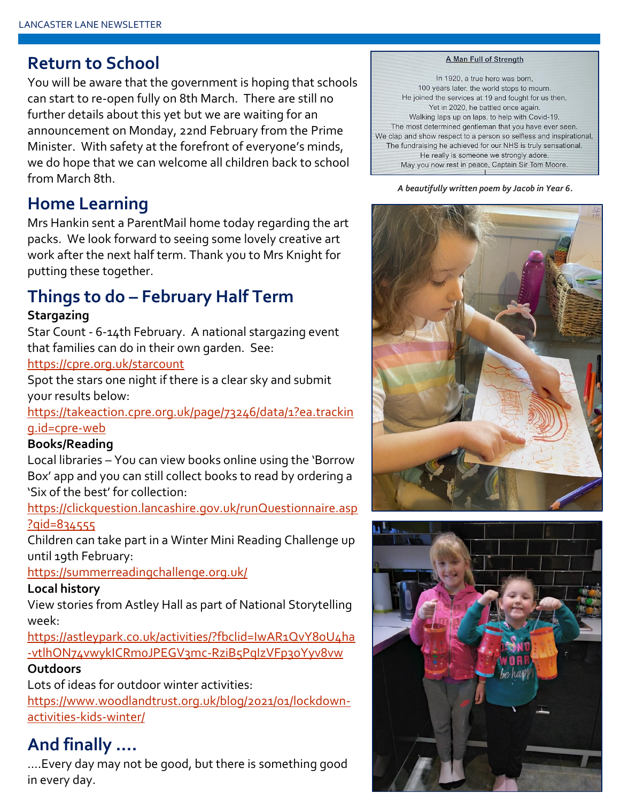### **Return to School**

You will be aware that the government is hoping that schools can start to re-open fully on 8th March. There are still no further details about this yet but we are waiting for an announcement on Monday, 22nd February from the Prime Minister. With safety at the forefront of everyone's minds, we do hope that we can welcome all children back to school from March 8th.

# **Home Learning**

Mrs Hankin sent a ParentMail home today regarding the art packs. We look forward to seeing some lovely creative art work after the next half term. Thank you to Mrs Knight for putting these together.

# **Things to do – February Half Term**

### **Stargazing**

Star Count - 6-14th February. A national stargazing event that families can do in their own garden. See:

### <https://cpre.org.uk/starcount>

Spot the stars one night if there is a clear sky and submit your results below:

[https://takeaction.cpre.org.uk/page/73246/data/1?ea.trackin](https://takeaction.cpre.org.uk/page/73246/data/1?ea.tracking.id=cpre-web) [g.id=cpre-web](https://takeaction.cpre.org.uk/page/73246/data/1?ea.tracking.id=cpre-web)

### **Books/Reading**

Local libraries – You can view books online using the 'Borrow Box' app and you can still collect books to read by ordering a 'Six of the best' for collection:

[https://clickquestion.lancashire.gov.uk/runQuestionnaire.asp](https://clickquestion.lancashire.gov.uk/runQuestionnaire.asp?qid=834555) [?qid=834555](https://clickquestion.lancashire.gov.uk/runQuestionnaire.asp?qid=834555)

Children can take part in a Winter Mini Reading Challenge up until 19th February:

<https://summerreadingchallenge.org.uk/>

### **Local history**

View stories from Astley Hall as part of National Storytelling week:

[https://astleypark.co.uk/activities/?fbclid=IwAR1QvY8oU4ha](https://astleypark.co.uk/activities/?fbclid=IwAR1QvY8oU4ha-vtlhON74vwykICRm0JPEGV3mc-RziB5PqIzVFp3oYyv8vw) [-vtlhON74vwykICRm0JPEGV3mc-RziB5PqIzVFp3oYyv8vw](https://astleypark.co.uk/activities/?fbclid=IwAR1QvY8oU4ha-vtlhON74vwykICRm0JPEGV3mc-RziB5PqIzVFp3oYyv8vw)

### **Outdoors**

Lots of ideas for outdoor winter activities:

[https://www.woodlandtrust.org.uk/blog/2021/01/lockdown](https://www.woodlandtrust.org.uk/blog/2021/01/lockdown-activities-kids-winter/)[activities-kids-winter/](https://www.woodlandtrust.org.uk/blog/2021/01/lockdown-activities-kids-winter/)

# **And finally ….**

….Every day may not be good, but there is something good in every day.

#### **A Man Full of Strength**

In 1920, a true hero was born, 100 years later, the world stops to mourn. He joined the services at 19 and fought for us then, Yet in 2020, he battled once again. Walking laps up on laps, to help with Covid-19, The most determined gentleman that you have ever seen. We clap and show respect to a person so selfless and inspirational, The fundraising he achieved for our NHS is truly sensational. He really is someone we strongly adore, May you now rest in peace, Captain Sir Tom Moore.

#### *A beautifully written poem by Jacob in Year 6.*